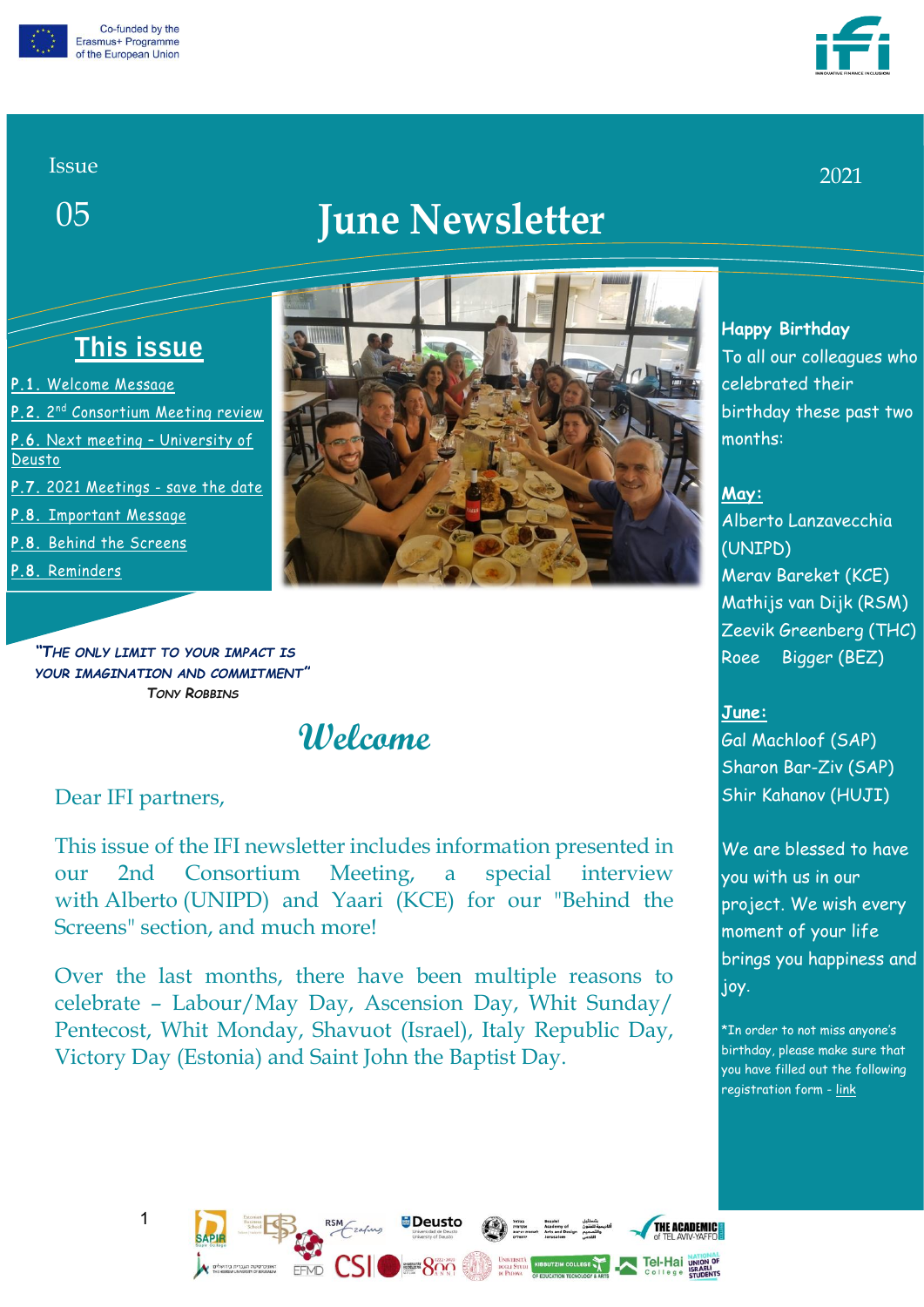



2021

#### Issue

05

# **June Newsletter**

# **This issue**

- **P.1.** [Welcome](#page-0-0) Message
- **P.2.** 2 nd [Consortium Meeting review](#page-1-0)
- **P.6.** [Next meeting](#page-5-0)  University of
- [Deusto](#page-5-0)
- **P.7.** [2021 Meetings](#page-6-0) save the date
- **P.8.** [Important](#page-7-0) Message
- **P.8.** [Behind the Screens](#page-7-1)
- **P.8.** [Reminders](#page-7-2)



<span id="page-0-0"></span>*"THE ONLY LIMIT TO YOUR IMPACT IS YOUR IMAGINATION AND COMMITMENT" TONY ROBBINS*

# **Welcome**

#### Dear IFI partners,

This issue of the IFI newsletter includes information presented in our 2nd Consortium Meeting, a special interview with Alberto (UNIPD) and Yaari (KCE) for our "Behind the Screens" section, and much more!

Over the last months, there have been multiple reasons to celebrate – Labour/May Day, Ascension Day, Whit Sunday/ Pentecost, Whit Monday, Shavuot (Israel), Italy Republic Day, Victory Day (Estonia) and Saint John the Baptist Day.

FFMD

Deusto

 $-800$ 

#### **Happy Birthday**  To all our colleagues who celebrated their birthday these past two months:

#### **May:**

Alberto Lanzavecchia (UNIPD) Merav Bareket (KCE)

Mathijs van Dijk (RSM) Zeevik Greenberg (THC) Roee Bigger (BEZ)

#### **June:**

Gal Machloof (SAP) Sharon Bar-Ziv (SAP) Shir Kahanov (HUJI)

We are blessed to have you with us in our project. We wish every moment of your life brings you happiness and joy.

\*In order to not miss anyone's birthday, please make sure that you have filled out the following registration form - [link](https://accounts.google.com/ServiceLogin?service=wise&passive=1209600&continue=https://docs.google.com/forms/d/e/1FAIpQLSfmlgJzAm0-tKg-an4VqNvi0oyfQG1ZQJI495LHcilSNFyogg/viewform?usp%3Dsf_link&followup=https://docs.google.com/forms/d/e/1FAIpQLSfmlgJzAm0-tKg-an4VqNvi0oyfQG1ZQJI495LHcilSNFyogg/viewform?usp%3Dsf_link<mpl=forms)

THE ACADEMICE

**Tel-Hai UNION OF** 

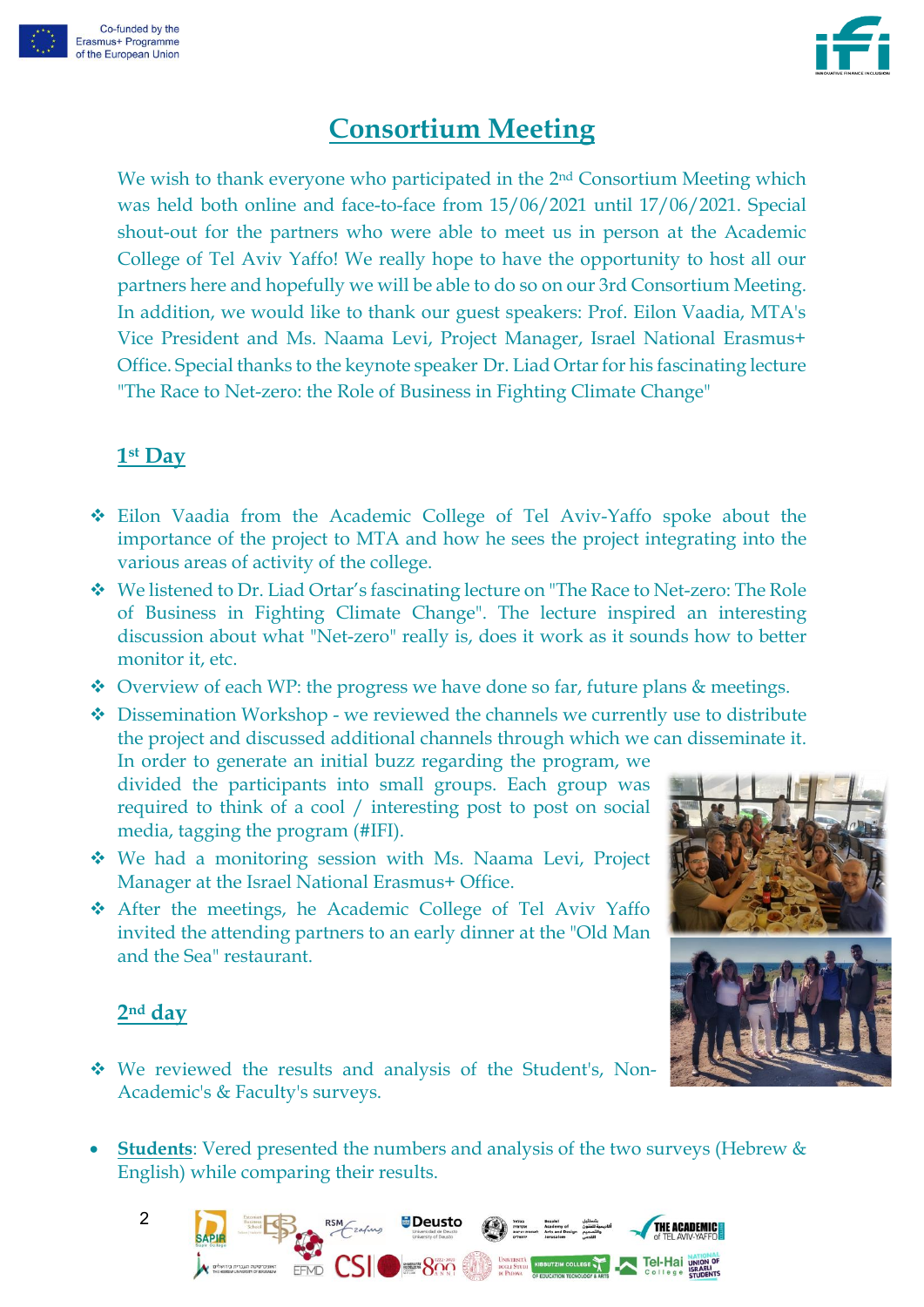



# **Consortium Meeting**

<span id="page-1-0"></span>We wish to thank everyone who participated in the 2<sup>nd</sup> Consortium Meeting which was held both online and face-to-face from 15/06/2021 until 17/06/2021. Special shout-out for the partners who were able to meet us in person at the Academic College of Tel Aviv Yaffo! We really hope to have the opportunity to host all our partners here and hopefully we will be able to do so on our 3rd Consortium Meeting. In addition, we would like to thank our guest speakers: Prof. Eilon Vaadia, MTA's Vice President and Ms. Naama Levi, Project Manager, Israel National Erasmus+ Office. Special thanks to the keynote speaker Dr. Liad Ortar for his fascinating lecture "The Race to Net-zero: the Role of Business in Fighting Climate Change"

#### **1st Day**

- ❖ Eilon Vaadia from the Academic College of Tel Aviv-Yaffo spoke about the importance of the project to MTA and how he sees the project integrating into the various areas of activity of the college.
- ❖ We listened to Dr. Liad Ortar's fascinating lecture on "The Race to Net-zero: The Role of Business in Fighting Climate Change". The lecture inspired an interesting discussion about what "Net-zero" really is, does it work as it sounds how to better monitor it, etc.
- ❖ Overview of each WP: the progress we have done so far, future plans & meetings.

❖ Dissemination Workshop - we reviewed the channels we currently use to distribute the project and discussed additional channels through which we can disseminate it. In order to generate an initial buzz regarding the program, we

divided the participants into small groups. Each group was required to think of a cool / interesting post to post on social media, tagging the program (#IFI).

- ❖ We had a monitoring session with Ms. Naama Levi, Project Manager at the Israel National Erasmus+ Office.
- ❖ After the meetings, he Academic College of Tel Aviv Yaffo invited the attending partners to an early dinner at the "Old Man and the Sea" restaurant.

#### **2nd day**

- ❖ We reviewed the results and analysis of the Student's, Non-Academic's & Faculty's surveys.
- **Students**: Vered presented the numbers and analysis of the two surveys (Hebrew & English) while comparing their results.







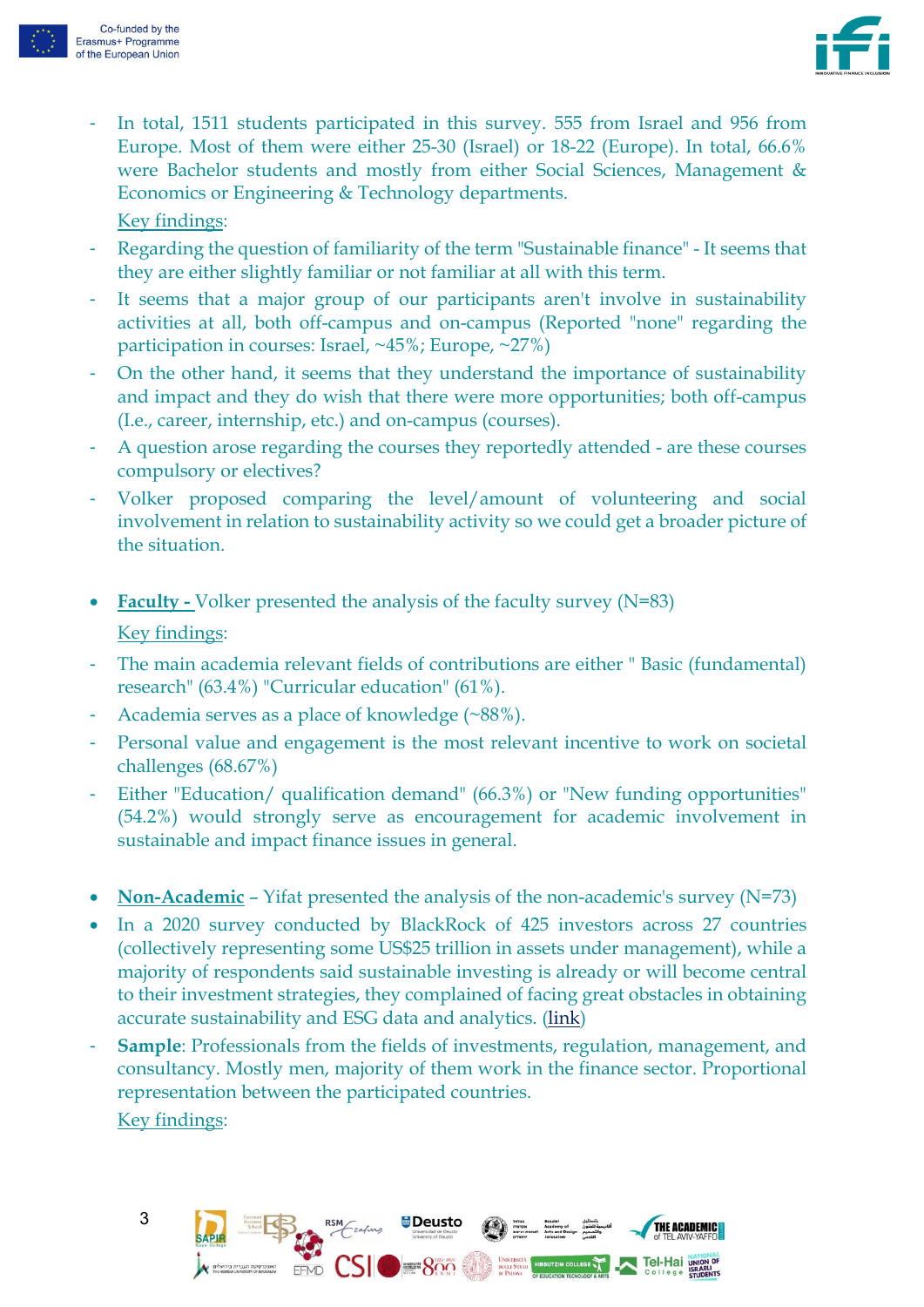



In total, 1511 students participated in this survey. 555 from Israel and 956 from Europe. Most of them were either 25-30 (Israel) or 18-22 (Europe). In total, 66.6% were Bachelor students and mostly from either Social Sciences, Management & Economics or Engineering & Technology departments.

Key findings:

- Regarding the question of familiarity of the term "Sustainable finance" It seems that they are either slightly familiar or not familiar at all with this term.
- It seems that a major group of our participants aren't involve in sustainability activities at all, both off-campus and on-campus (Reported "none" regarding the participation in courses: Israel, ~45%; Europe, ~27%)
- On the other hand, it seems that they understand the importance of sustainability and impact and they do wish that there were more opportunities; both off-campus (I.e., career, internship, etc.) and on-campus (courses).
- A question arose regarding the courses they reportedly attended are these courses compulsory or electives?
- Volker proposed comparing the level/amount of volunteering and social involvement in relation to sustainability activity so we could get a broader picture of the situation.
- **Faculty -** Volker presented the analysis of the faculty survey (N=83) Key findings:
- The main academia relevant fields of contributions are either "Basic (fundamental) research" (63.4%) "Curricular education" (61%).
- Academia serves as a place of knowledge (~88%).

FFMD

- Personal value and engagement is the most relevant incentive to work on societal challenges (68.67%)
- Either "Education/ qualification demand" (66.3%) or "New funding opportunities" (54.2%) would strongly serve as encouragement for academic involvement in sustainable and impact finance issues in general.
- **Non-Academic** Yifat presented the analysis of the non-academic's survey (N=73)
- In a 2020 survey conducted by BlackRock of 425 investors across 27 countries (collectively representing some US\$25 trillion in assets under management), while a majority of respondents said sustainable investing is already or will become central to their investment strategies, they complained of facing great obstacles in obtaining accurate sustainability and ESG data and analytics. [\(link\)](https://www.businesstimes.com.sg/opinion/why-50-of-businesses-wont-survive-the-sustainability-push)
- **Sample**: Professionals from the fields of investments, regulation, management, and consultancy. Mostly men, majority of them work in the finance sector. Proportional representation between the participated countries. Key findings:

**Deusto** 

 $\blacksquare$  800

THE ACADEMIC

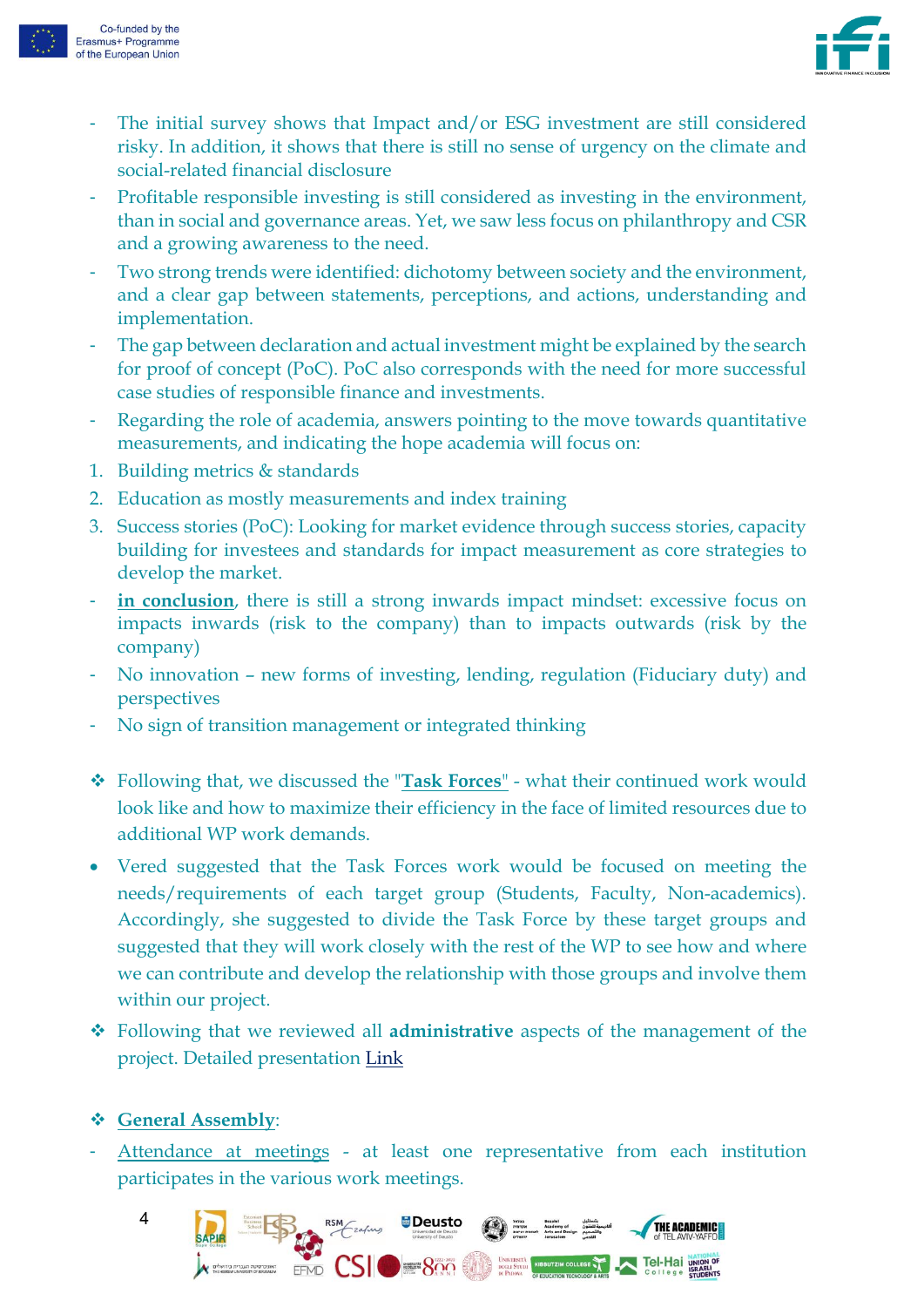



- The initial survey shows that Impact and/or ESG investment are still considered risky. In addition, it shows that there is still no sense of urgency on the climate and social-related financial disclosure
- Profitable responsible investing is still considered as investing in the environment, than in social and governance areas. Yet, we saw less focus on philanthropy and CSR and a growing awareness to the need.
- Two strong trends were identified: dichotomy between society and the environment, and a clear gap between statements, perceptions, and actions, understanding and implementation.
- The gap between declaration and actual investment might be explained by the search for proof of concept (PoC). PoC also corresponds with the need for more successful case studies of responsible finance and investments.
- Regarding the role of academia, answers pointing to the move towards quantitative measurements, and indicating the hope academia will focus on:
- 1. Building metrics & standards
- 2. Education as mostly measurements and index training
- 3. Success stories (PoC): Looking for market evidence through success stories, capacity building for investees and standards for impact measurement as core strategies to develop the market.
- **in conclusion**, there is still a strong inwards impact mindset: excessive focus on impacts inwards (risk to the company) than to impacts outwards (risk by the company)
- No innovation new forms of investing, lending, regulation (Fiduciary duty) and perspectives
- No sign of transition management or integrated thinking
- ❖ Following that, we discussed the "**Task Forces**" what their continued work would look like and how to maximize their efficiency in the face of limited resources due to additional WP work demands.
- Vered suggested that the Task Forces work would be focused on meeting the needs/requirements of each target group (Students, Faculty, Non-academics). Accordingly, she suggested to divide the Task Force by these target groups and suggested that they will work closely with the rest of the WP to see how and where we can contribute and develop the relationship with those groups and involve them within our project.
- ❖ Following that we reviewed all **administrative** aspects of the management of the project. Detailed presentation [Link](https://f0c7c442-e84c-48ad-a459-ed689c619aef.filesusr.com/ugd/af4603_08b864387a1b413c9983f8342d47405b.pdf)

#### ❖ **General Assembly**:

Attendance at meetings - at least one representative from each institution participates in the various work meetings.

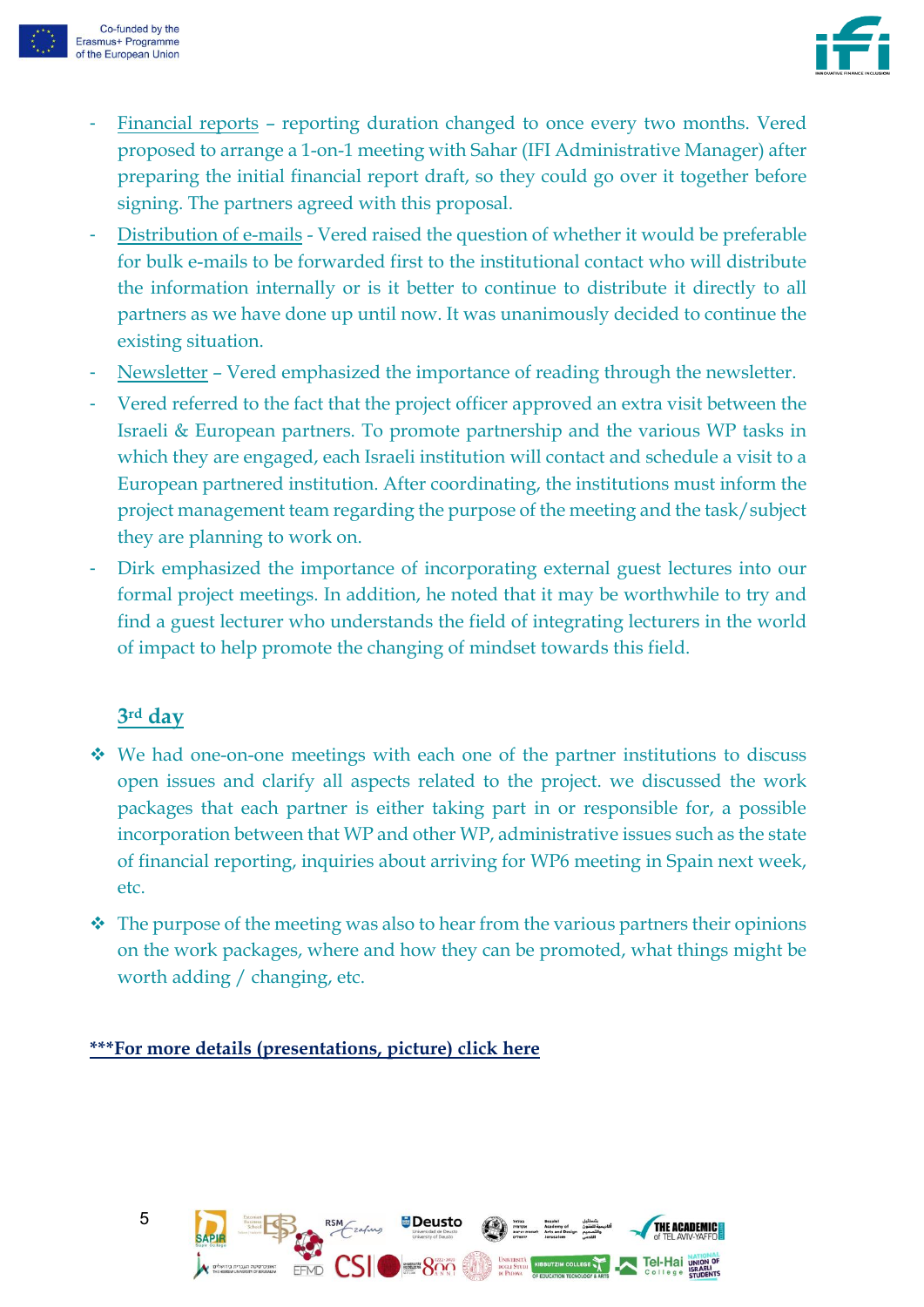



- Financial reports reporting duration changed to once every two months. Vered proposed to arrange a 1-on-1 meeting with Sahar (IFI Administrative Manager) after preparing the initial financial report draft, so they could go over it together before signing. The partners agreed with this proposal.
- Distribution of e-mails Vered raised the question of whether it would be preferable for bulk e-mails to be forwarded first to the institutional contact who will distribute the information internally or is it better to continue to distribute it directly to all partners as we have done up until now. It was unanimously decided to continue the existing situation.
- Newsletter Vered emphasized the importance of reading through the newsletter.
- Vered referred to the fact that the project officer approved an extra visit between the Israeli & European partners. To promote partnership and the various WP tasks in which they are engaged, each Israeli institution will contact and schedule a visit to a European partnered institution. After coordinating, the institutions must inform the project management team regarding the purpose of the meeting and the task/subject they are planning to work on.
- Dirk emphasized the importance of incorporating external guest lectures into our formal project meetings. In addition, he noted that it may be worthwhile to try and find a guest lecturer who understands the field of integrating lecturers in the world of impact to help promote the changing of mindset towards this field.

#### **3rd day**

- ❖ We had one-on-one meetings with each one of the partner institutions to discuss open issues and clarify all aspects related to the project. we discussed the work packages that each partner is either taking part in or responsible for, a possible incorporation between that WP and other WP, administrative issues such as the state of financial reporting, inquiries about arriving for WP6 meeting in Spain next week, etc.
- ❖ The purpose of the meeting was also to hear from the various partners their opinions on the work packages, where and how they can be promoted, what things might be worth adding / changing, etc.

#### **\*\*\*For more details (presentations, picture) [click](https://www.ifi.mta.ac.il/past-meetings/2nd-consortium-meeting%3A-15.06.21---17.06.21) here**

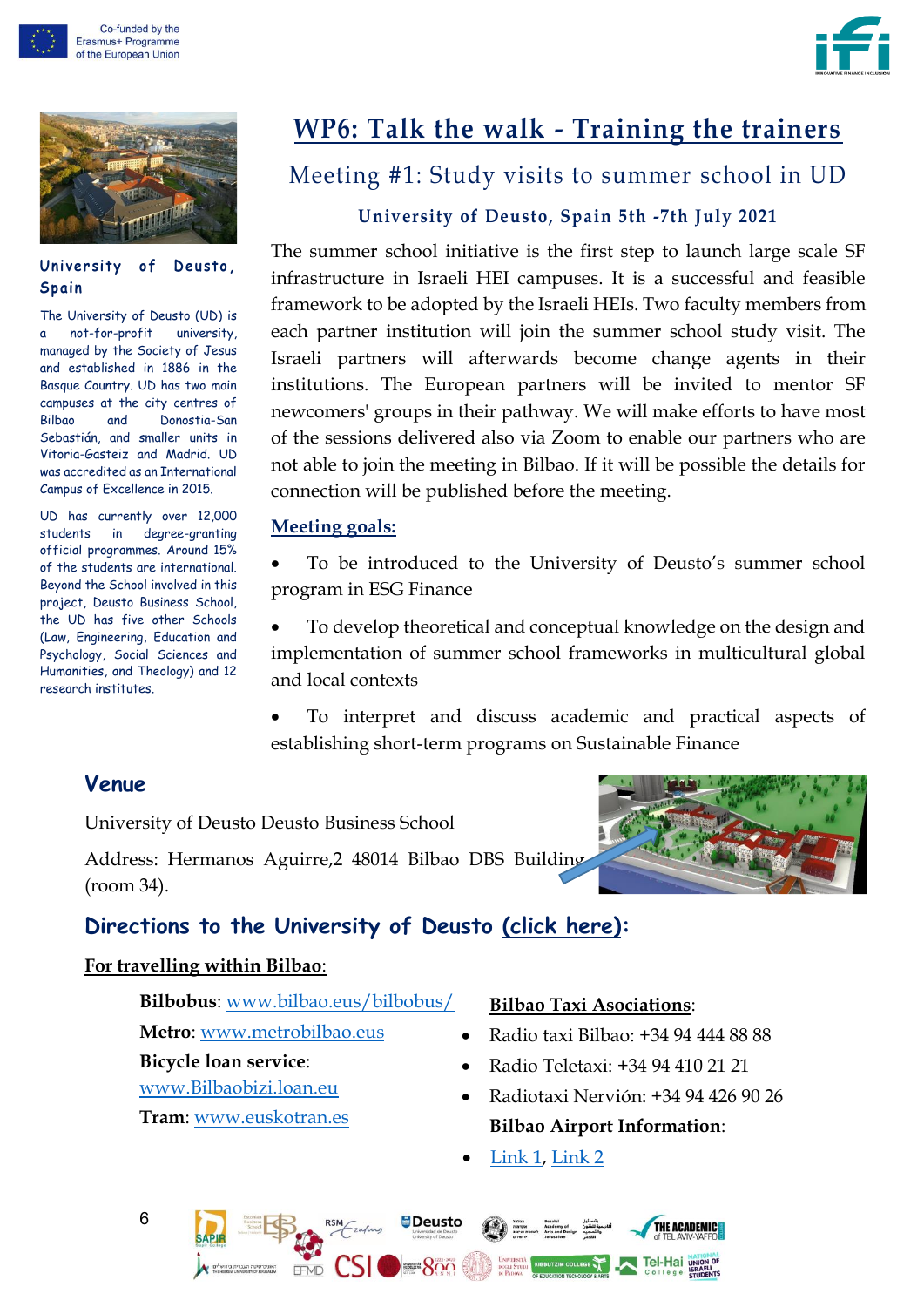





#### University of Deusto. **S p ai n**

The University of Deusto (UD) is a not-for-profit university, managed by the Society of Jesus and established in 1886 in the Basque Country. UD has two main campuses at the city centres of Bilbao and Donostia-San Sebastián, and smaller units in Vitoria-Gasteiz and Madrid. UD was accredited as an International Campus of Excellence in 2015.

UD has currently over 12,000 students in degree-granting official programmes. Around 15% of the students are international. Beyond the School involved in this project, Deusto Business School, the UD has five other Schools (Law, Engineering, Education and Psychology, Social Sciences and Humanities, and Theology) and 12 research institutes.

# **WP6: Talk the walk - Training the trainers**

### <span id="page-5-0"></span>Meeting #1: Study visits to summer school in UD

#### **University of Deusto, Spain 5th -7th July 2021**

The summer school initiative is the first step to launch large scale SF infrastructure in Israeli HEI campuses. It is a successful and feasible framework to be adopted by the Israeli HEIs. Two faculty members from each partner institution will join the summer school study visit. The Israeli partners will afterwards become change agents in their institutions. The European partners will be invited to mentor SF newcomers' groups in their pathway. We will make efforts to have most of the sessions delivered also via Zoom to enable our partners who are not able to join the meeting in Bilbao. If it will be possible the details for connection will be published before the meeting.

#### **Meeting goals:**

To be introduced to the University of Deusto's summer school program in ESG Finance

• To develop theoretical and conceptual knowledge on the design and implementation of summer school frameworks in multicultural global and local contexts

• To interpret and discuss academic and practical aspects of establishing short-term programs on Sustainable Finance

#### **Venue**

University of Deusto Deusto Business School

Address: Hermanos Aguirre,2 48014 Bilbao DBS Building (room 34).

#### **Directions to the University of Deusto [\(click here\):](https://www.google.es/maps/place/Universidad+de+Deusto/@43.271237,-2.938542,15z/data=!4m5!3m4!1s0xd4e50207f52c445:0x6ea1bd3e8bae3141!8m2!3d43.2712452!4d-2.9385576?hl=es)**

#### **For travelling within Bilbao**:

**Bilbobus**: [www.bilbao.eus/bilbobus/](http://www.bilbao.eus/bilbobus/)

- **Metro**: [www.metrobilbao.eus](http://www.metrobilbao.eus/)
- **Bicycle loan service**:
- [www.Bilbaobizi.loan.eu](http://www.bilbaobizi.loan.eu/)
- **Tram**: [www.euskotran.es](http://www.euskotran.es/)

#### **Bilbao Taxi Asociations**:

- Radio taxi Bilbao: +34 94 444 88 88
- Radio Teletaxi: +34 94 410 21 21
- Radiotaxi Nervión: +34 94 426 90 26 **Bilbao Airport Information**:
- [Link 1,](https://www.bilbaoturismo.net/BilbaoTurismo/es/del-aeropuerto-abilbao) [Link](https://www.aeropuerto-bilbao.com/info-aeropuerto-bilbao.php) 2

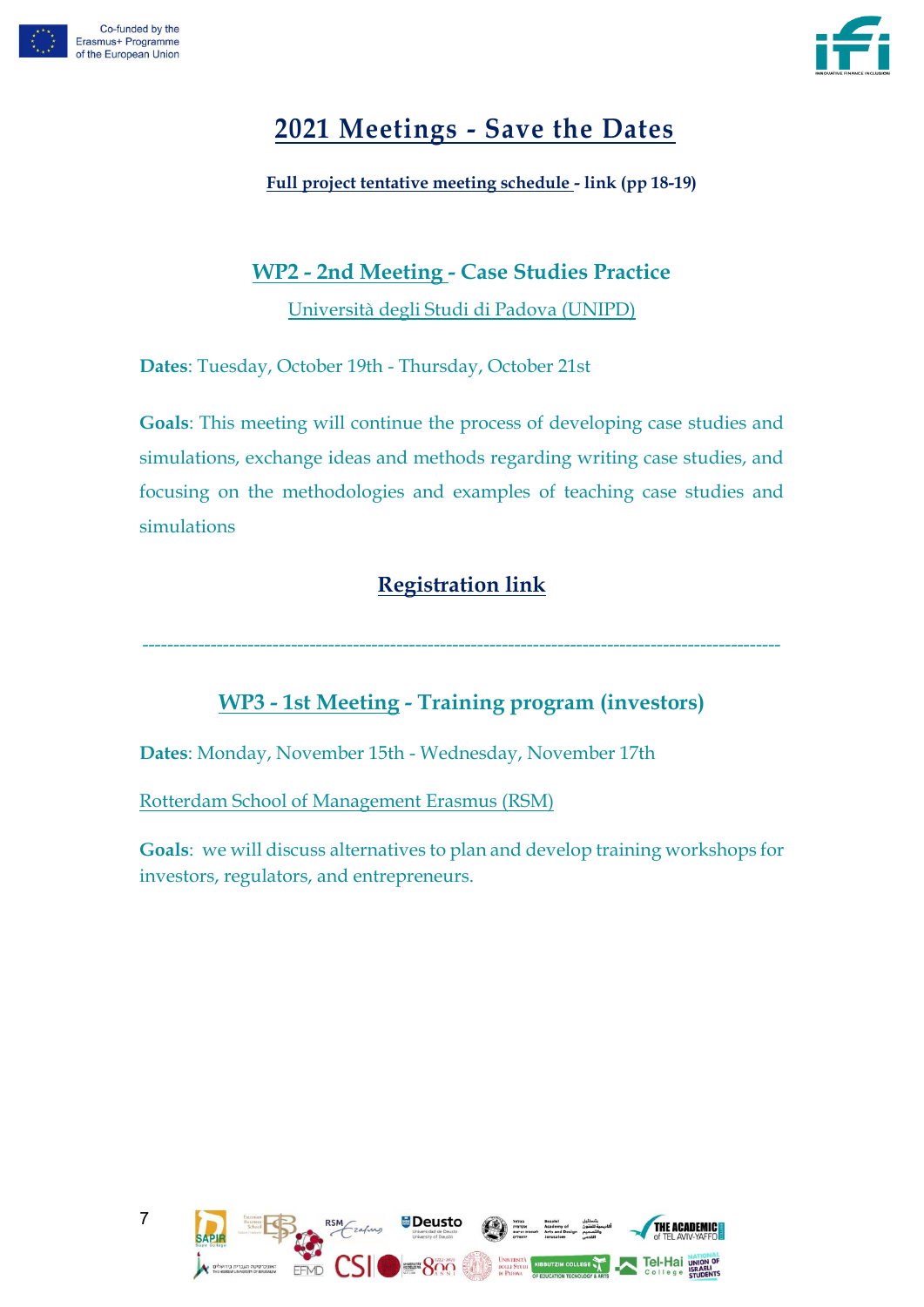



# <span id="page-6-0"></span>**2021 Meetings - Save the Dates**

**Full project tentative meeting schedule - [link](https://f0c7c442-e84c-48ad-a459-ed689c619aef.filesusr.com/ugd/af4603_d6ec61919c804897a1150de86069fc26.pdf) (pp 18-19)**

#### **WP2 - 2nd Meeting - Case Studies Practice**

Università degli Studi di Padova (UNIPD)

**Dates**: Tuesday, October 19th - Thursday, October 21st

**Goals**: This meeting will continue the process of developing case studies and simulations, exchange ideas and methods regarding writing case studies, and focusing on the methodologies and examples of teaching case studies and simulations

### **[Registration link](https://www.ifi.mta.ac.il/event-details/wp2-establish-a-pool-of-cases-for-study-and-simulations-2nd-meeting/form)**

-------------------------------------------------------------------------------------------------------

#### **WP3 - 1st Meeting - Training program (investors)**

**Dates**: Monday, November 15th - Wednesday, November 17th

Rotterdam School of Management Erasmus (RSM)

**Goals**: we will discuss alternatives to plan and develop training workshops for investors, regulators, and entrepreneurs.